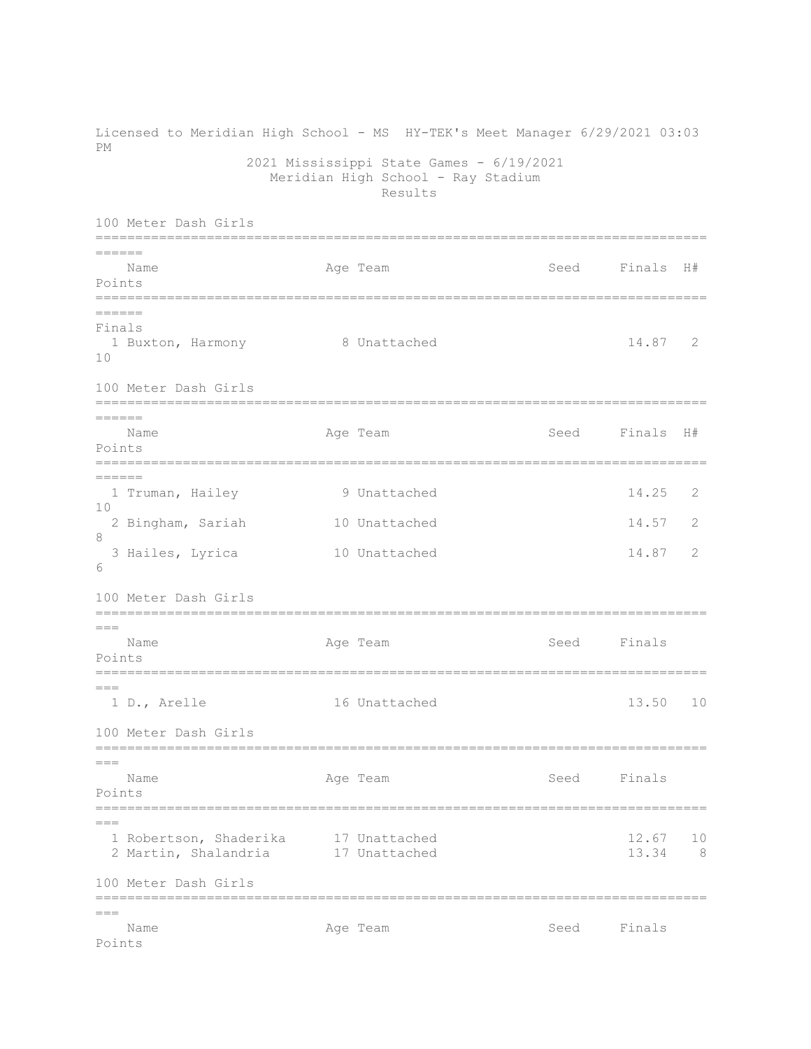Licensed to Meridian High School - MS HY-TEK's Meet Manager 6/29/2021 03:03 PM 2021 Mississippi State Games - 6/19/2021 Meridian High School - Ray Stadium Results 100 Meter Dash Girls =============================================================================  $=$ Name Age Team Seed Finals H# Points ============================================================================= ====== Finals 1 Buxton, Harmony 8 Unattached 14.87 2 10 100 Meter Dash Girls ============================================================================= ====== Name **Age Team Seed Finals H**# Points ============================================================================= ====== 1 Truman, Hailey 9 Unattached 14.25 2  $1<sub>0</sub>$  2 Bingham, Sariah 10 Unattached 14.57 2 8 3 Hailes, Lyrica 10 Unattached 14.87 2 6 100 Meter Dash Girls =============================================================================  $=$ Name **Age Team** Age Team Seed Finals Points =============================================================================  $===$  1 D., Arelle 16 Unattached 13.50 10 100 Meter Dash Girls ============================================================================= === Name **Age Team** Age Team Seed Finals Points ============================================================================= === 1 Robertson, Shaderika 17 Unattached 12.67 10 2 Martin, Shalandria 17 Unattached 13.34 8 100 Meter Dash Girls ============================================================================= === Name **Age Team** Age Team Seed Finals Points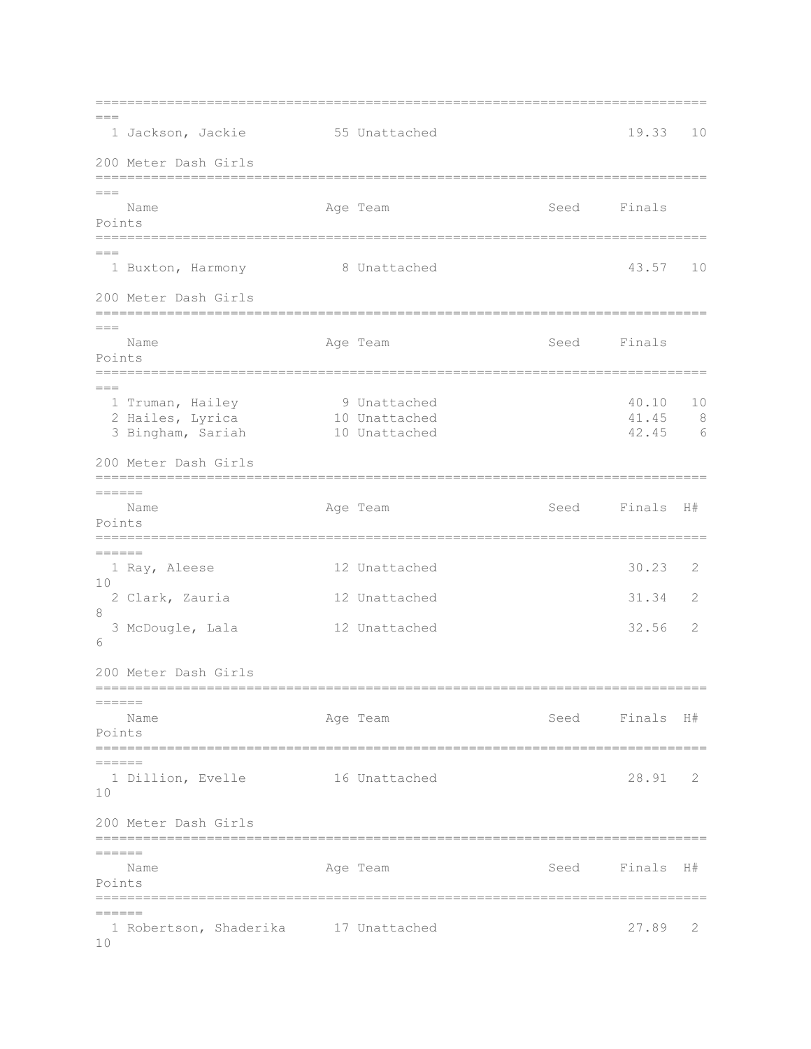| $---$               | 1 Jackson, Jackie                     | 55 Unattached                  |      | 19.33          | 10     |
|---------------------|---------------------------------------|--------------------------------|------|----------------|--------|
|                     | 200 Meter Dash Girls                  |                                |      |                |        |
| $== ==$             |                                       |                                |      |                |        |
| Points              | Name                                  | Age Team                       | Seed | Finals         |        |
| $== =$              |                                       |                                |      |                |        |
|                     | 1 Buxton, Harmony                     | 8 Unattached                   |      | 43.57          | 10     |
|                     | 200 Meter Dash Girls                  |                                |      |                |        |
| $== ==$             |                                       |                                |      |                |        |
| Points              | Name                                  | Age Team                       | Seed | Finals         |        |
| $---$               |                                       |                                |      |                |        |
|                     | 1 Truman, Hailey                      | 9 Unattached                   |      | 40.10          | $10$   |
|                     | 2 Hailes, Lyrica<br>3 Bingham, Sariah | 10 Unattached<br>10 Unattached |      | 41.45<br>42.45 | 8<br>6 |
|                     | 200 Meter Dash Girls                  |                                |      |                |        |
|                     |                                       |                                |      |                |        |
| ======              | Name                                  | Age Team                       | Seed | Finals         | H#     |
| Points              | --------                              |                                |      |                |        |
| ======              |                                       |                                |      |                |        |
| 10                  | 1 Ray, Aleese                         | 12 Unattached                  |      | 30.23          | 2      |
|                     | 2 Clark, Zauria                       | 12 Unattached                  |      | 31.34          | 2      |
| 8                   | 3 McDougle, Lala                      | 12 Unattached                  |      | 32.56          | 2      |
| 6                   |                                       |                                |      |                |        |
|                     | 200 Meter Dash Girls                  |                                |      |                |        |
| $=======$           |                                       |                                |      |                |        |
| Points              | Name                                  | Age Team                       |      | Seed Finals H# |        |
| ======              |                                       |                                |      |                |        |
| 10                  | 1 Dillion, Evelle                     | 16 Unattached                  |      | 28.91          | 2      |
|                     |                                       |                                |      |                |        |
|                     | 200 Meter Dash Girls<br>=======       |                                |      |                |        |
| $=$ $=$ $=$ $=$ $=$ | Name                                  | Age Team                       | Seed | Finals H#      |        |
| Points              |                                       |                                |      |                |        |
| ======              | =======================               |                                |      |                |        |
| 10                  | 1 Robertson, Shaderika 17 Unattached  |                                |      | 27.89          | 2      |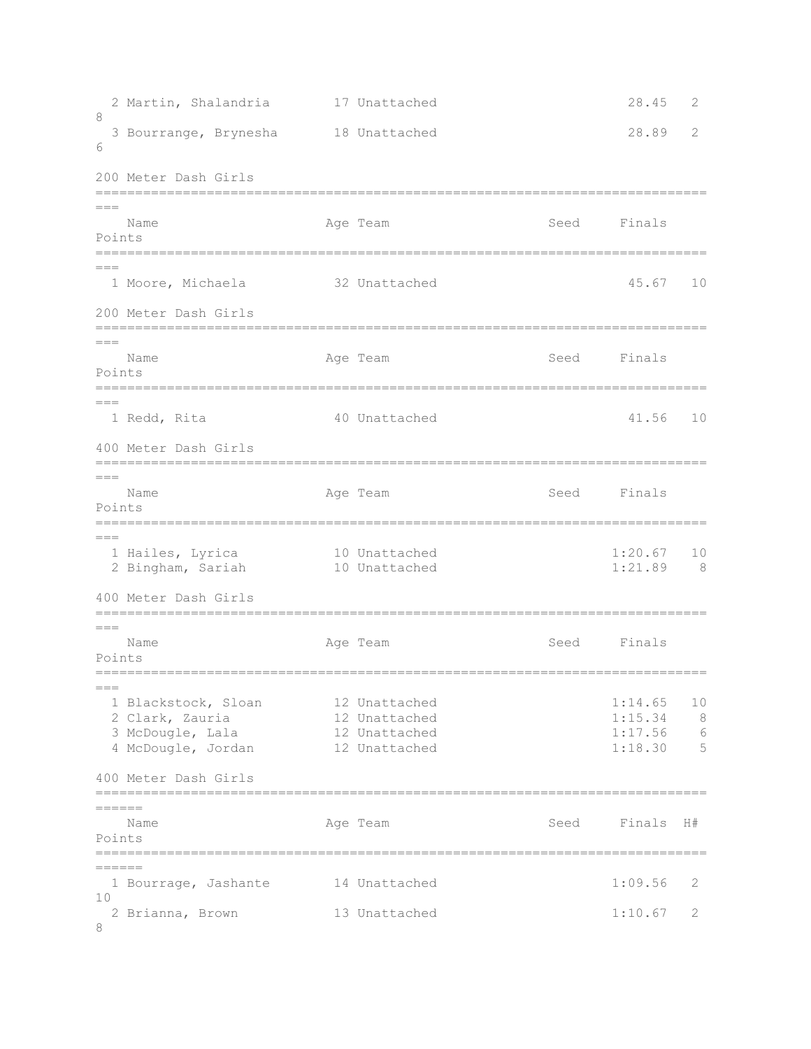2 Martin, Shalandria 17 Unattached 28.45 2 8 3 Bourrange, Brynesha 18 Unattached 28.89 2 6 200 Meter Dash Girls =============================================================================  $==-$ Name Age Team Seed Finals Points =============================================================================  $=$ 1 Moore, Michaela 32 Unattached 45.67 10 200 Meter Dash Girls ============================================================================= === Name **Age Team** Age Team Seed Finals Points ============================================================================= === 1 Redd, Rita 40 Unattached 41.56 10 400 Meter Dash Girls =============================================================================  $=$ Name **Age Team** Age Team Seed Finals Points =============================================================================  $---$  1 Hailes, Lyrica 10 Unattached 1:20.67 10 2 Bingham, Sariah 10 Unattached 1:21.89 8 400 Meter Dash Girls =============================================================================  $=$ Name **Age Team** Age Team Seed Finals Points =============================================================================  $=$ 1 Blackstock, Sloan 12 Unattached 1:14.65 10 2 Clark, Zauria 12 Unattached 1:15.34 8 3 McDougle, Lala 12 Unattached 1:17.56 6 4 McDougle, Jordan 12 Unattached 1:18.30 5 400 Meter Dash Girls =============================================================================  $=$ Name and Age Team Seed Finals H# Points =============================================================================  $=$ 1 Bourrage, Jashante 14 Unattached 1:09.56 2 10 2 Brianna, Brown 13 Unattached 1:10.67 2 8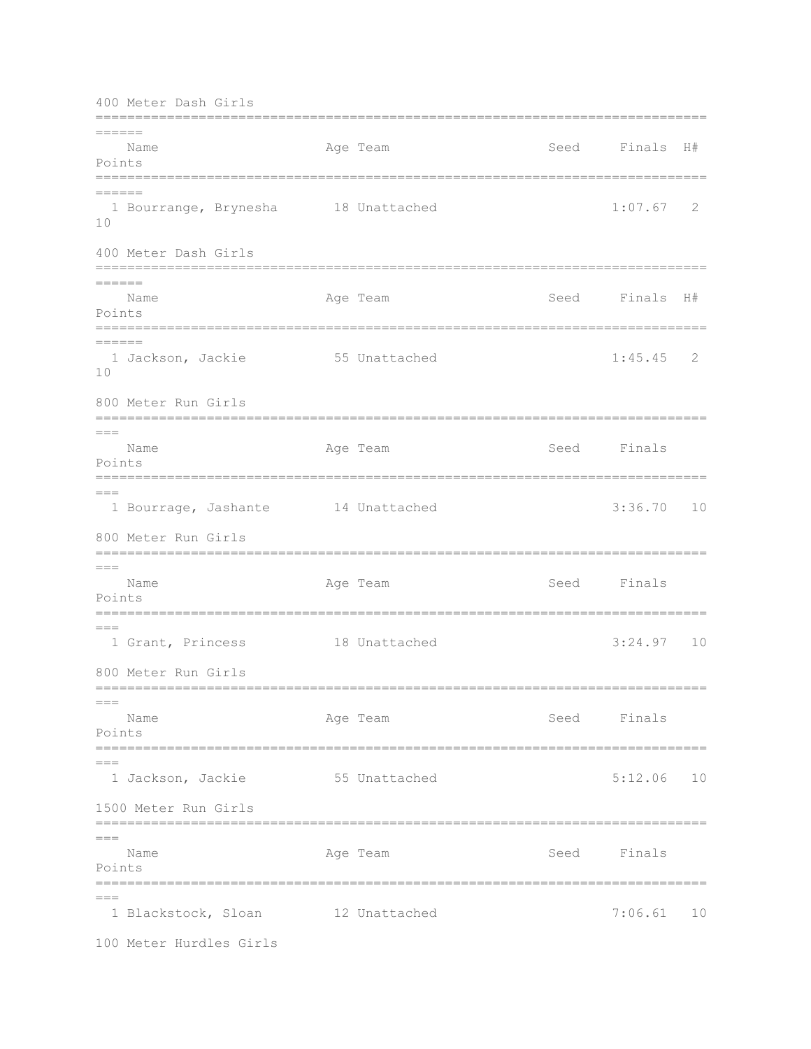400 Meter Dash Girls =============================================================================  $=======$ Name **Age Team Seed Finals H**# Points =============================================================================  $======$  1 Bourrange, Brynesha 18 Unattached 1:07.67 2 10 400 Meter Dash Girls ============================================================================= ====== Name **Age Team** Age Team Seed Finals H# Points ============================================================================= ====== 1 Jackson, Jackie 55 Unattached 1:45.45 2 10 800 Meter Run Girls =============================================================================  $=$ Name **Age Team** Age Team Seed Finals Points =============================================================================  $=$ 1 Bourrage, Jashante 14 Unattached 11 3:36.70 10 800 Meter Run Girls =============================================================================  $===$ Name **Age Team** Age Team Seed Finals Points =============================================================================  $=$  1 Grant, Princess 18 Unattached 3:24.97 10 800 Meter Run Girls ============================================================================= === Name **Age Team** Age Team Seed Finals Points ============================================================================= === 1 Jackson, Jackie 55 Unattached 5:12.06 10 1500 Meter Run Girls =============================================================================  $=$ Name **Age Team** Age Team Seed Finals Points =============================================================================  $---$ 1 Blackstock, Sloan 12 Unattached 7:06.61 10 100 Meter Hurdles Girls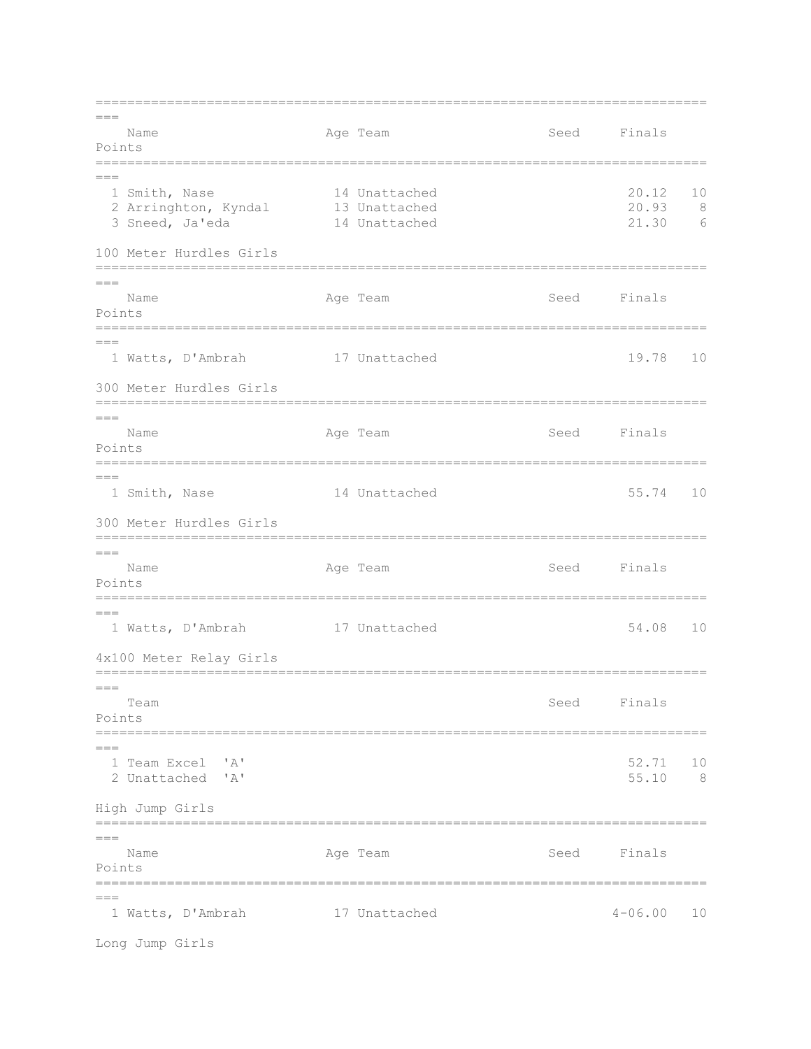=============================================================================  $=$ Name **Age Team** Age Team Seed Finals Points =============================================================================  $---$ 1 Smith, Nase 14 Unattached 20.12 10<br>2 Arringhton, Kyndal 13 Unattached 20.93 8 2 Arringhton, Kyndal 13 Unattached 20.93 8<br>3 Sneed, Ja'eda 14 Unattached 21.30 6 3 Sneed, Ja'eda 14 Unattached 100 Meter Hurdles Girls =============================================================================  $=$ Name **Age Team** Age Team Seed Finals Points ============================================================================= === 1 Watts, D'Ambrah 17 Unattached 19.78 10 300 Meter Hurdles Girls =============================================================================  $=$ Name **Age Team** Age Team Seed Finals Points =============================================================================  $=$  1 Smith, Nase 14 Unattached 55.74 10 300 Meter Hurdles Girls =============================================================================  $=$  Name Age Team Seed Finals Points =============================================================================  $=$ 1 Watts, D'Ambrah 17 Unattached 54.08 10 4x100 Meter Relay Girls =============================================================================  $=$  Team Seed Finals Points =============================================================================  $=$  1 Team Excel 'A' 52.71 10 2 Unattached 'A' 55.10 8 High Jump Girls =============================================================================  $=$ Name **Age Team** Age Team Seed Finals Points =============================================================================  $---$  1 Watts, D'Ambrah 17 Unattached 4-06.00 10 Long Jump Girls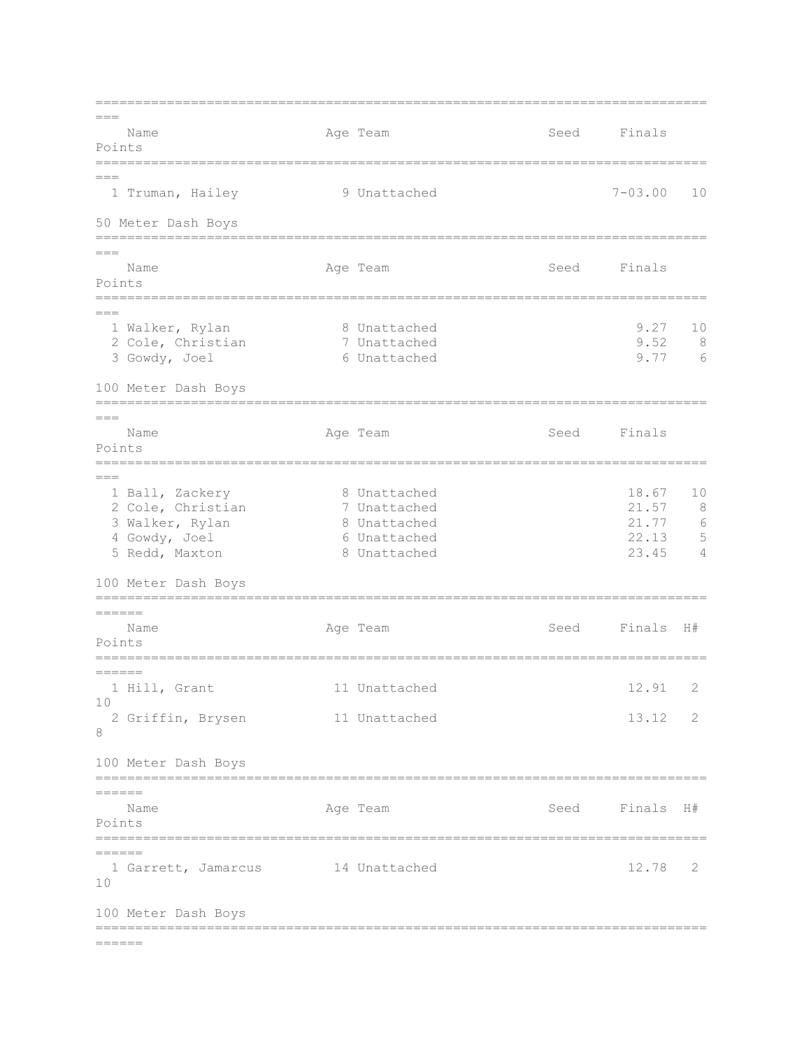=============================================================================  $---$ Name **Age Team** Age Team Seed Finals Points =============================================================================  $---$  1 Truman, Hailey 9 Unattached 7-03.00 10 50 Meter Dash Boys =============================================================================  $=$ Name **Age Team** Age Team Seed Finals Points =============================================================================  $---$  1 Walker, Rylan 8 Unattached 9.27 10 2 Cole, Christian 7 Unattached 9.52 8 2 Cole, Christian 1 Unattached 1 1 9.52 8<br>3 Gowdy, Joel 6 Unattached 1 9.77 6 100 Meter Dash Boys =============================================================================  $=$ Name **Age Team** Age Team Seed Finals Points =============================================================================  $=$  1 Ball, Zackery 8 Unattached 18.67 10 2 Cole, Christian 7 Unattached 21.57 8 3 Walker, Rylan 8 Unattached 21.77 6 4 Gowdy, Joel 6 Unattached 22.13 5 5 Redd, Maxton 8 Unattached 23.45 4 100 Meter Dash Boys ============================================================================= ====== Name **Age Team** Age Team Seed Finals H# Points =============================================================================  $=$  1 Hill, Grant 11 Unattached 12.91 2 10 2 Griffin, Brysen 11 Unattached 13.12 2 8 100 Meter Dash Boys ============================================================================= ====== Name **Age Team Seed Finals H**# Points =============================================================================  $=======$ 1 Garrett, Jamarcus 14 Unattached 12.78 2 10 100 Meter Dash Boys =============================================================================  $=$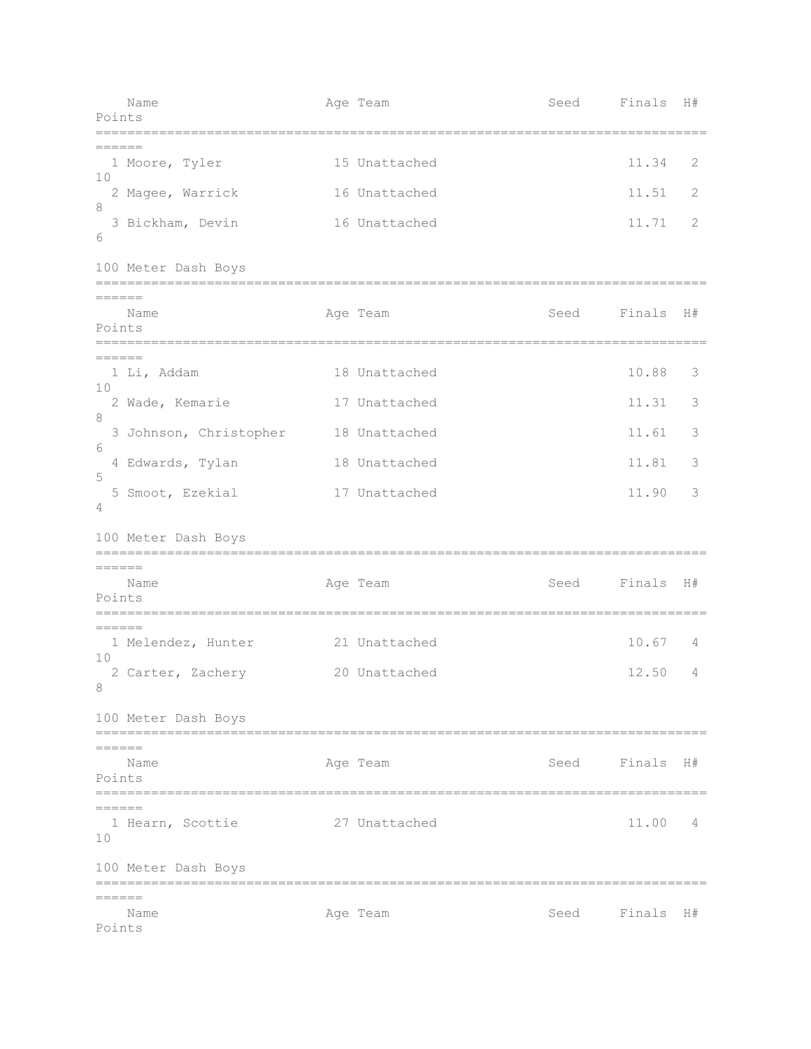| Name<br>Points                                    | Age Team      | Seed | Finals    | H# |
|---------------------------------------------------|---------------|------|-----------|----|
| $=======$                                         |               |      |           |    |
| 1 Moore, Tyler<br>10                              | 15 Unattached |      | 11.34     | 2  |
| 2 Magee, Warrick<br>8                             | 16 Unattached |      | 11.51     | 2  |
| 3 Bickham, Devin<br>6                             | 16 Unattached |      | 11.71     | 2  |
| 100 Meter Dash Boys                               |               |      |           |    |
| $\qquad \qquad \displaystyle =\,=\,=\,=\,=\,=$    |               |      |           |    |
| Name<br>Points                                    | Age Team      | Seed | Finals    | H# |
| $=====$<br>1 Li, Addam                            | 18 Unattached |      | 10.88     | 3  |
| 10<br>2 Wade, Kemarie                             | 17 Unattached |      | 11.31     | 3  |
| 8<br>3 Johnson, Christopher                       | 18 Unattached |      | 11.61     | 3  |
| 6<br>4 Edwards, Tylan                             | 18 Unattached |      | 11.81     | 3  |
| 5<br>5 Smoot, Ezekial<br>4                        | 17 Unattached |      | 11.90     | 3  |
| 100 Meter Dash Boys<br>-------------------------- |               |      |           |    |
| $\qquad \qquad \displaystyle =\,=\,=\,=\,=\,=$    |               |      |           |    |
| Name<br>Points                                    | Age Team      | Seed | Finals H# |    |
| $=$ $=$ $=$ $=$ $=$                               |               |      |           |    |
| 1 Melendez, Hunter<br>10                          | 21 Unattached |      | 10.67     | 4  |
| 2 Carter, Zachery<br>8                            | 20 Unattached |      | 12.50     | 4  |
| 100 Meter Dash Boys                               |               |      |           |    |
| ======<br>Name                                    | Age Team      | Seed | Finals    | H# |
| Points                                            |               |      |           |    |
| $=$ $=$ $=$ $=$ $=$                               |               |      |           |    |
| 1 Hearn, Scottie<br>10                            | 27 Unattached |      | 11.00     | 4  |
| 100 Meter Dash Boys<br>===========                |               |      |           |    |
| ======<br>Name                                    | Age Team      | Seed | Finals H# |    |
| Points                                            |               |      |           |    |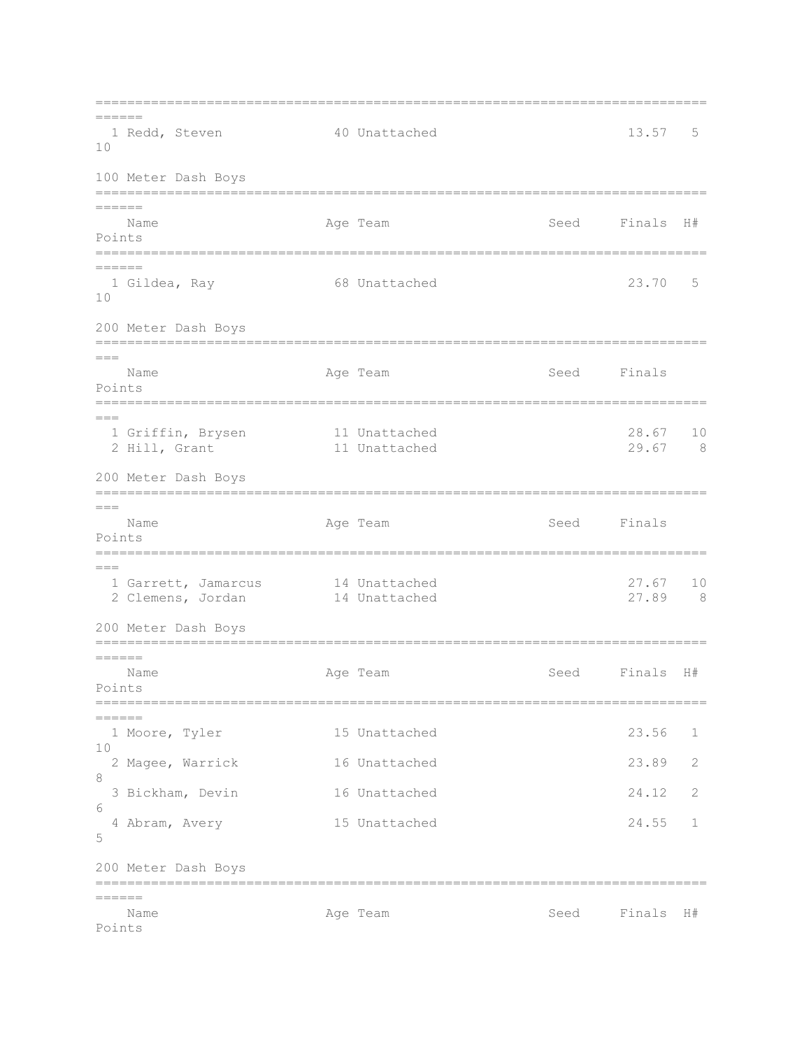=============================================================================  $=$ 1 Redd, Steven 40 Unattached 13.57 5 10 100 Meter Dash Boys ============================================================================= ====== Name **Age Team** Age Team Seed Finals H# Points =============================================================================  $=$  1 Gildea, Ray 68 Unattached 23.70 5 10 200 Meter Dash Boys =============================================================================  $=$ Name **Age Team** Age Team Seed Finals Points =============================================================================  $=$ 1 Griffin, Brysen 11 Unattached 28.67 10<br>2 Hill, Grant 11 Unattached 29.67 8 2 Hill, Grant 11 Unattached 200 Meter Dash Boys =============================================================================  $=$ Name Age Team Seed Finals Points =============================================================================  $=$  1 Garrett, Jamarcus 14 Unattached 27.67 10 2 Clemens, Jordan 14 Unattached 27.89 8 200 Meter Dash Boys =============================================================================  $=$ Name **Age Team Seed Finals H**# Points ============================================================================= ====== 1 Moore, Tyler 15 Unattached 23.56 1  $1<sub>0</sub>$  2 Magee, Warrick 16 Unattached 23.89 2 8 3 Bickham, Devin 16 Unattached 24.12 2 6 4 Abram, Avery 15 Unattached 24.55 1 5 200 Meter Dash Boys =============================================================================  $-$ Name and Age Team Seed Finals H# Points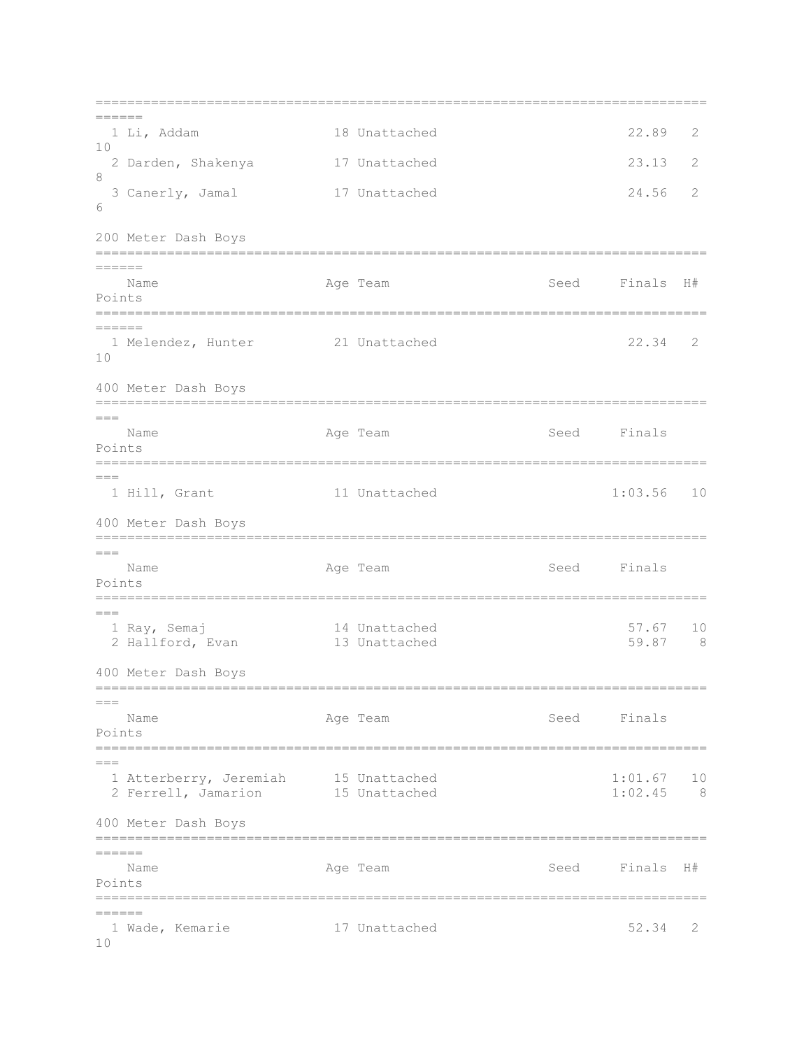=============================================================================  $=$  1 Li, Addam 18 Unattached 22.89 2 10 2 Darden, Shakenya 17 Unattached 23.13 2 8 3 Canerly, Jamal 17 Unattached 24.56 2 6 200 Meter Dash Boys =============================================================================  $=$ Name **Age Team Seed Finals H**# Points ============================================================================= ====== 1 Melendez, Hunter 21 Unattached 22.34 2 10 400 Meter Dash Boys =============================================================================  $=$ Name **Age Team** Age Team Seed Finals Points =============================================================================  $=$  1 Hill, Grant 11 Unattached 1:03.56 10 400 Meter Dash Boys =============================================================================  $=$ Name **Age Team** Age Team Seed Finals Points =============================================================================  $=$ 1 Ray, Semaj 14 Unattached 57.67 10<br>2 Hallford, Evan 13 Unattached 59.87 8 2 Hallford, Evan 400 Meter Dash Boys =============================================================================  $=$ Name **Age Team** Age Team Seed Finals Points ============================================================================= === 1 Atterberry, Jeremiah 15 Unattached 1:01.67 10 2 Ferrell, Jamarion 15 Unattached 1:02.45 8 400 Meter Dash Boys =============================================================================  $=$  Name Age Team Seed Finals H# Points ============================================================================= ====== 1 Wade, Kemarie 17 Unattached 52.34 2  $1<sub>0</sub>$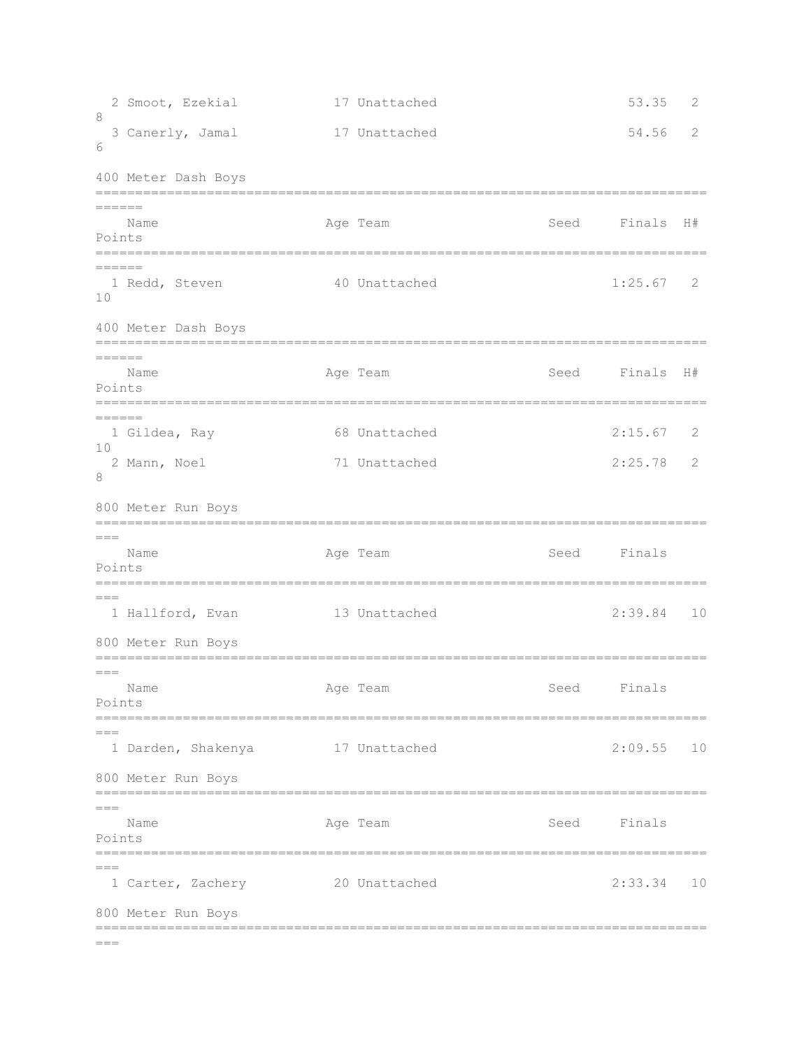```
2 Smoot, Ezekial 17 Unattached 53.35 2
8 
  3 Canerly, Jamal 17 Unattached 54.56 2 
6 
400 Meter Dash Boys
=============================================================================
======
  Name Age Team Age Team Seed Finals H#
Points
=============================================================================
=1 Redd, Steven 40 Unattached 1:25.67 2
10 
400 Meter Dash Boys
=============================================================================
=Name Age Team Age Team Seed Finals H#
Points
=============================================================================
======
  1 Gildea, Ray 68 Unattached 2:15.67 2 
10 
  2 Mann, Noel 71 Unattached 2:25.78 2 
8 
800 Meter Run Boys
=============================================================================
=Name Age Team Age Team Seed Finals
Points
=============================================================================
===
 1 Hallford, Evan 13 Unattached 2:39.84 10 
800 Meter Run Boys
=============================================================================
=Name Age Team Age Team Seed Finals
Points
=============================================================================
= 1 Darden, Shakenya 17 Unattached 2:09.55 10 
800 Meter Run Boys
=============================================================================
=Name Age Team Age Team Seed Finals
Points
=============================================================================
= 1 Carter, Zachery 20 Unattached 2:33.34 10 
800 Meter Run Boys
=============================================================================
=
```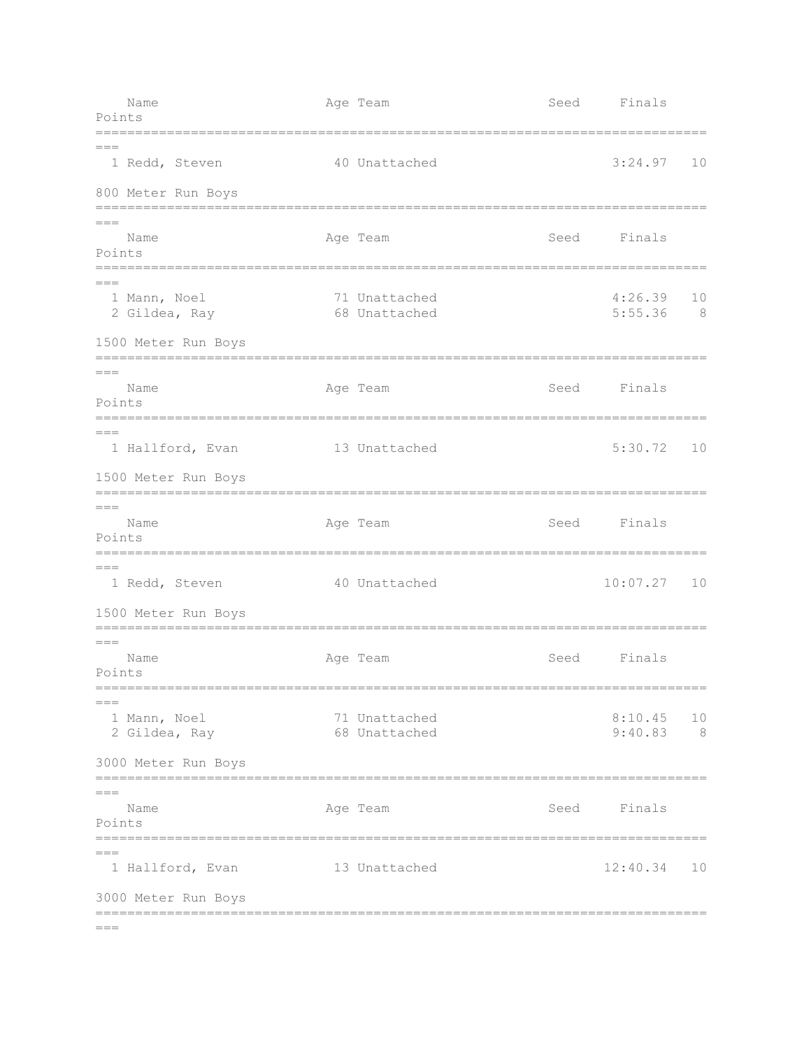| Name<br>Points                              | Age Team                       | Seed                                  | Finals               |           |
|---------------------------------------------|--------------------------------|---------------------------------------|----------------------|-----------|
| $===$<br>1 Redd, Steven                     | 40 Unattached                  |                                       | 3:24.97              | 10        |
| 800 Meter Run Boys                          |                                |                                       |                      |           |
| $===$<br>Name<br>Points<br>========         | Age Team                       | Seed                                  | Finals               |           |
| $===$<br>1 Mann, Noel<br>2 Gildea, Ray      | 71 Unattached<br>68 Unattached |                                       | 4:26.39<br>5:55.36   | 10<br>- 8 |
| 1500 Meter Run Boys<br>==================== |                                |                                       |                      |           |
| $===$<br>Name<br>Points                     | Age Team                       | Seed                                  | Finals               |           |
| $== =$<br>1 Hallford, Evan                  | 13 Unattached                  |                                       | 5:30.72              | 10        |
| 1500 Meter Run Boys                         |                                |                                       |                      |           |
| $===$<br>Name<br>Points<br>_______          | Age Team                       | Seed<br>----------------------------- | Finals               |           |
| $== =$<br>1 Redd, Steven                    | 40 Unattached                  |                                       | 10:07.27             | 10        |
| 1500 Meter Run Boys<br>==================== |                                |                                       |                      |           |
| Name<br>Points<br>=======                   | Age Team                       | Seed<br>=========                     | Finals               |           |
| $== =$<br>1 Mann, Noel<br>2 Gildea, Ray     | 71 Unattached<br>68 Unattached |                                       | 8:10.45<br>9:40.83 8 | 10        |
| 3000 Meter Run Boys                         |                                |                                       |                      |           |
| $= = =$<br>Name<br>Points                   | Age Team                       |                                       | Seed Finals          |           |
| $== =$<br>1 Hallford, Evan                  | 13 Unattached                  |                                       | 12:40.34             | 10        |
| 3000 Meter Run Boys                         |                                |                                       |                      |           |
| $== =$                                      |                                |                                       |                      |           |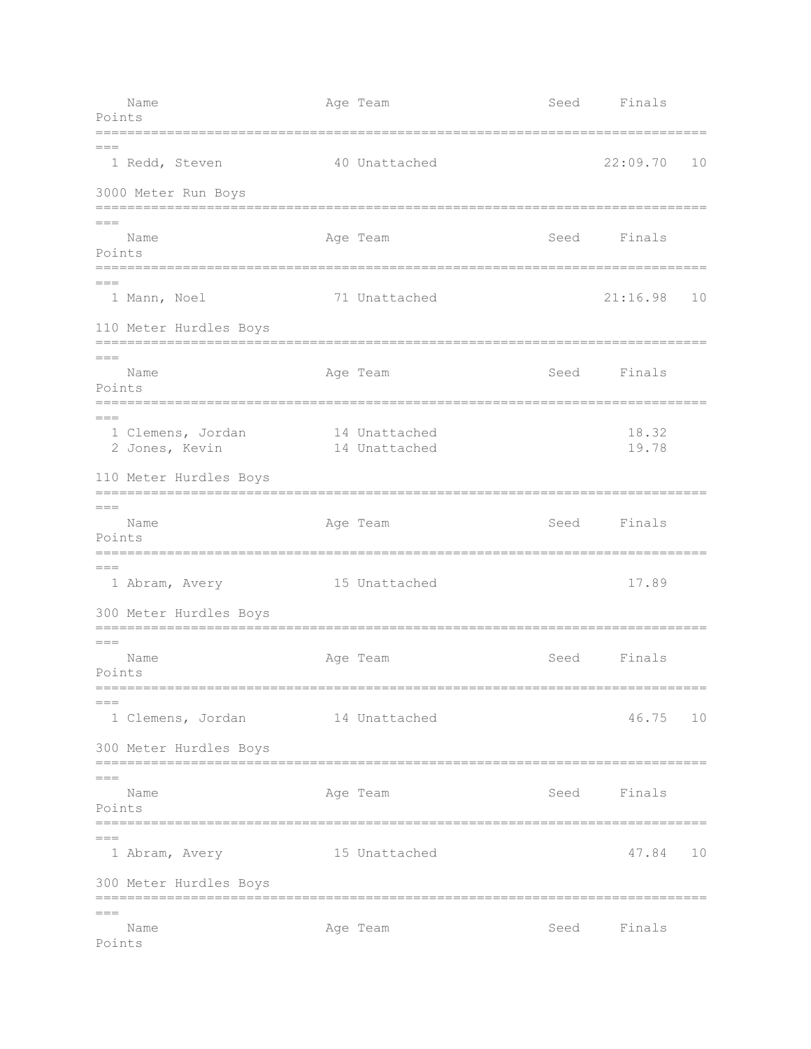Name **Age Team** Age Team Seed Finals Points ============================================================================= === 1 Redd, Steven 40 Unattached 22:09.70 10 3000 Meter Run Boys =============================================================================  $=$ Name **Age Team** Age Team Seed Finals Points =============================================================================  $=$  1 Mann, Noel 71 Unattached 21:16.98 10 110 Meter Hurdles Boys =============================================================================  $=$ Name **Age Team** Age Team Seed Finals Points =============================================================================  $=$  1 Clemens, Jordan 14 Unattached 18.32 2 Jones, Kevin 14 Unattached 19.78 110 Meter Hurdles Boys =============================================================================  $=$ Name Age Team Age Team Seed Finals Points =============================================================================  $=$  1 Abram, Avery 15 Unattached 17.89 300 Meter Hurdles Boys =============================================================================  $---$ Name **Age Team** Age Team Seed Finals Points ============================================================================= === 1 Clemens, Jordan 14 Unattached 46.75 10 300 Meter Hurdles Boys =============================================================================  $=$ Name Age Team Seed Finals Points =============================================================================  $=$  1 Abram, Avery 15 Unattached 47.84 10 300 Meter Hurdles Boys ============================================================================= === Name Age Team Seed Finals Points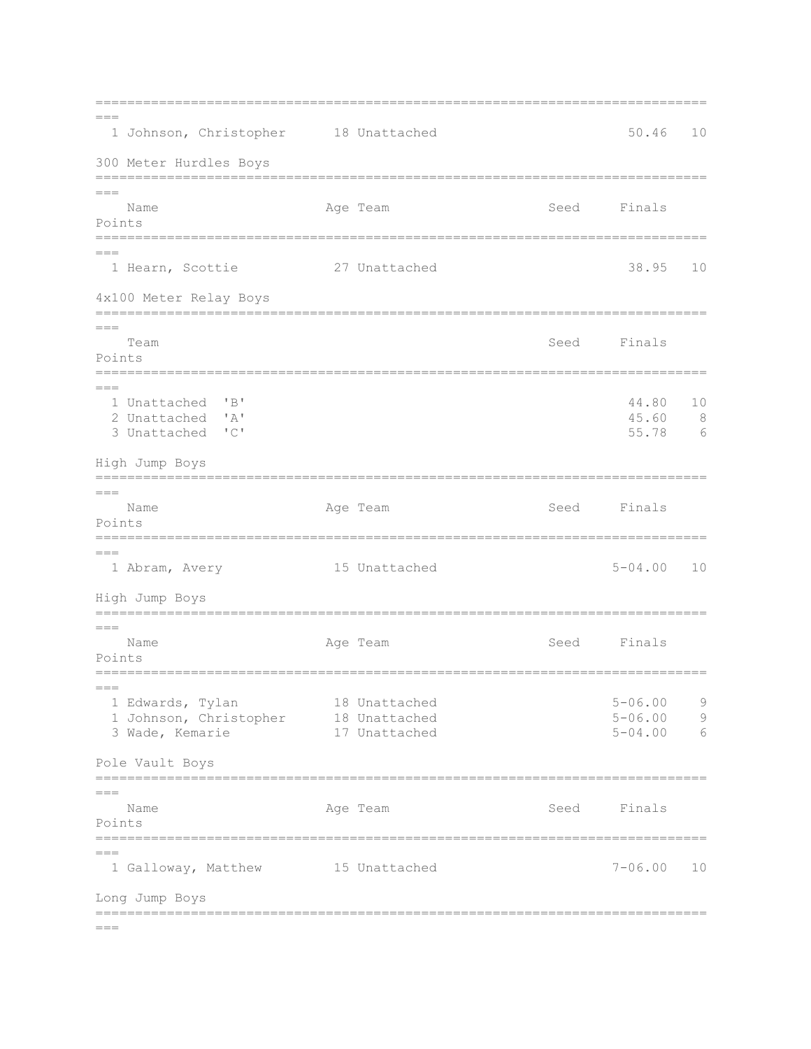=============================================================================  $---$  1 Johnson, Christopher 18 Unattached 50.46 10 300 Meter Hurdles Boys ============================================================================= === Name **Age Team** Age Team Seed Finals Points ============================================================================= === 1 Hearn, Scottie 27 Unattached 38.95 10 4x100 Meter Relay Boys =============================================================================  $=$ Team Seed Finals Points =============================================================================  $---$  1 Unattached 'B' 44.80 10 2 Unattached 'A' 45.60 8 3 Unattached 'C' High Jump Boys =============================================================================  $=$ Name **Age Team** Age Team Seed Finals Points ============================================================================= === 1 Abram, Avery 15 Unattached 5-04.00 10 High Jump Boys =============================================================================  $=$ Name **Age Team** Age Team Seed Finals Points =============================================================================  $=$  $=$  1 Edwards, Tylan 18 Unattached 5-06.00 9 1 Johnson, Christopher 18 Unattached 5-06.00 9 3 Wade, Kemarie 17 Unattached 5-04.00 6 Pole Vault Boys =============================================================================  $=$ Name **Age Team** Age Team Seed Finals Points =============================================================================  $=$  1 Galloway, Matthew 15 Unattached 7-06.00 10 Long Jump Boys =============================================================================

 $=$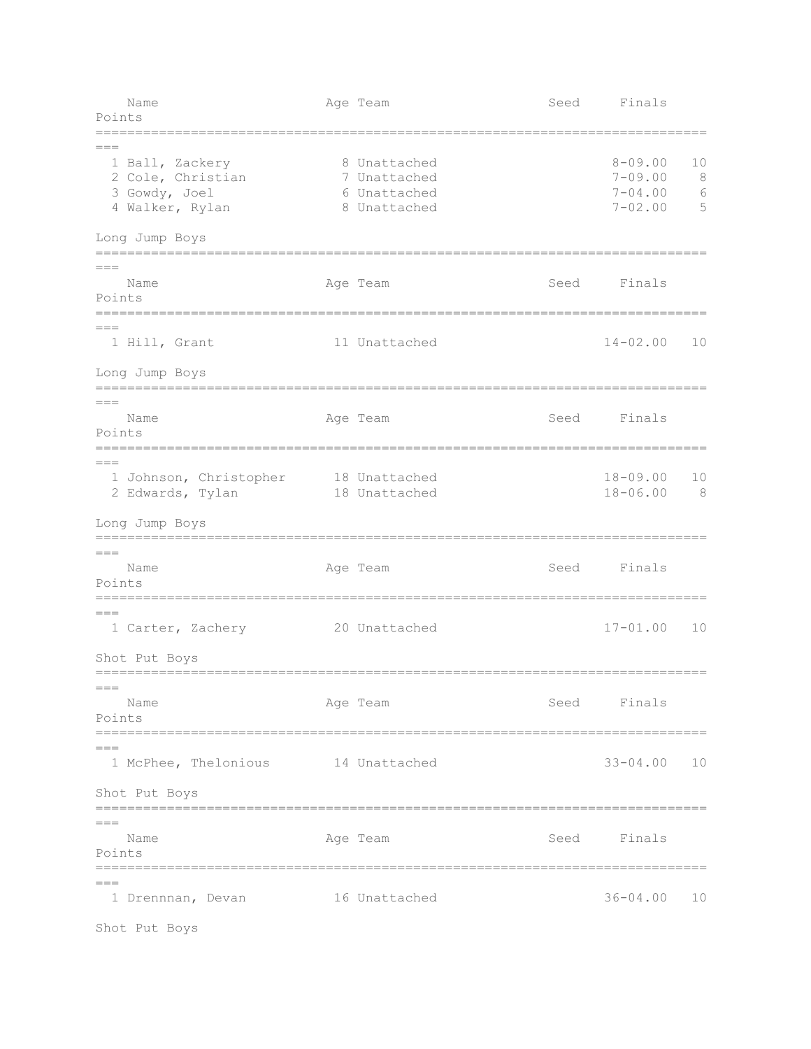Name Age Team Age Team Seed Finals Points =============================================================================  $=$ 1 Ball, Zackery 8 Unattached 8-09.00 10 2 Cole, Christian 7 Unattached 7-09.00 8 3 Gowdy, Joel 6 Unattached 7-04.00 6 4 Walker, Rylan 8 Unattached 7-02.00 5 Long Jump Boys =============================================================================  $=$ Name **Age Team** Age Team Seed Finals Points ============================================================================= === 1 Hill, Grant 11 Unattached 14-02.00 10 Long Jump Boys =============================================================================  $=$ Name Age Team Seed Finals Points ============================================================================= === 1 Johnson, Christopher 18 Unattached 18-09.00 10 2 Edwards, Tylan 18 Unattached 18-06.00 8 Long Jump Boys =============================================================================  $=$ Name **Age Team** Age Team Seed Finals Points =============================================================================  $=$  1 Carter, Zachery 20 Unattached 17-01.00 10 Shot Put Boys =============================================================================  $=$ Name **Age Team** Age Team Seed Finals Points ============================================================================= === 1 McPhee, Thelonious 14 Unattached 33-04.00 10 Shot Put Boys ============================================================================= === Name Age Team Seed Finals Points =============================================================================  $=$ 1 Drennnan, Devan 16 Unattached 1988 1988 10

Shot Put Boys